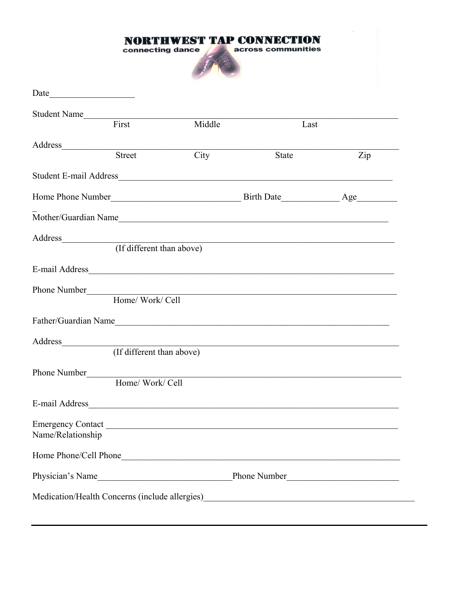|                                                                                   | connecting dance                                                                                                                                                                                                                                            |        | <b>PRTHWEST TAP CONNECTION</b><br>across communities |                                                             |  |
|-----------------------------------------------------------------------------------|-------------------------------------------------------------------------------------------------------------------------------------------------------------------------------------------------------------------------------------------------------------|--------|------------------------------------------------------|-------------------------------------------------------------|--|
| Date                                                                              |                                                                                                                                                                                                                                                             |        |                                                      |                                                             |  |
| Student Name<br>First                                                             |                                                                                                                                                                                                                                                             |        |                                                      |                                                             |  |
|                                                                                   |                                                                                                                                                                                                                                                             | Middle |                                                      | Last                                                        |  |
|                                                                                   | Street                                                                                                                                                                                                                                                      | City   | <b>State</b>                                         | Zip                                                         |  |
|                                                                                   |                                                                                                                                                                                                                                                             |        |                                                      |                                                             |  |
|                                                                                   |                                                                                                                                                                                                                                                             |        |                                                      | Home Phone Number<br>Manuscripture Birth Date<br>2018 - Age |  |
|                                                                                   |                                                                                                                                                                                                                                                             |        |                                                      |                                                             |  |
|                                                                                   | Address and the contract of the contract of the contract of the contract of the contract of the contract of the contract of the contract of the contract of the contract of the contract of the contract of the contract of th<br>(If different than above) |        |                                                      |                                                             |  |
|                                                                                   |                                                                                                                                                                                                                                                             |        |                                                      |                                                             |  |
|                                                                                   | Home/ Work/ Cell                                                                                                                                                                                                                                            |        |                                                      |                                                             |  |
| Father/Guardian Name                                                              |                                                                                                                                                                                                                                                             |        |                                                      |                                                             |  |
|                                                                                   | (If different than above)                                                                                                                                                                                                                                   |        |                                                      |                                                             |  |
| Phone Number                                                                      | Home/ Work/ Cell                                                                                                                                                                                                                                            |        |                                                      |                                                             |  |
|                                                                                   |                                                                                                                                                                                                                                                             |        |                                                      |                                                             |  |
| Name/Relationship                                                                 |                                                                                                                                                                                                                                                             |        |                                                      |                                                             |  |
|                                                                                   |                                                                                                                                                                                                                                                             |        |                                                      |                                                             |  |
|                                                                                   |                                                                                                                                                                                                                                                             |        |                                                      |                                                             |  |
| Medication/Health Concerns (include allergies)___________________________________ |                                                                                                                                                                                                                                                             |        |                                                      |                                                             |  |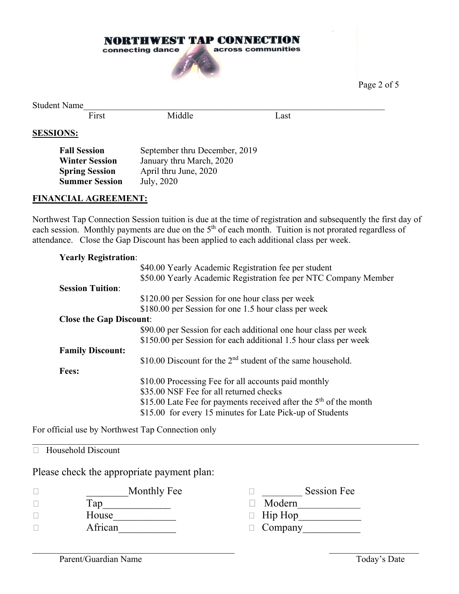

Page 2 of 5

Student Name<br>First

Middle Last

## **SESSIONS:**

| <b>Fall Session</b>   | September thru December, 2019 |
|-----------------------|-------------------------------|
| <b>Winter Session</b> | January thru March, 2020      |
| <b>Spring Session</b> | April thru June, 2020         |
| <b>Summer Session</b> | July, 2020                    |
|                       |                               |

### **FINANCIAL AGREEMENT:**

Northwest Tap Connection Session tuition is due at the time of registration and subsequently the first day of each session. Monthly payments are due on the 5<sup>th</sup> of each month. Tuition is not prorated regardless of attendance. Close the Gap Discount has been applied to each additional class per week.

| <b>Yearly Registration:</b>    |                                                                     |
|--------------------------------|---------------------------------------------------------------------|
|                                | \$40.00 Yearly Academic Registration fee per student                |
|                                | \$50.00 Yearly Academic Registration fee per NTC Company Member     |
| <b>Session Tuition:</b>        |                                                                     |
|                                | \$120.00 per Session for one hour class per week                    |
|                                | \$180.00 per Session for one 1.5 hour class per week                |
| <b>Close the Gap Discount:</b> |                                                                     |
|                                | \$90.00 per Session for each additional one hour class per week     |
|                                | \$150.00 per Session for each additional 1.5 hour class per week    |
| <b>Family Discount:</b>        |                                                                     |
|                                | \$10.00 Discount for the $2nd$ student of the same household.       |
| <b>Fees:</b>                   |                                                                     |
|                                | \$10.00 Processing Fee for all accounts paid monthly                |
|                                | \$35.00 NSF Fee for all returned checks                             |
|                                | \$15.00 Late Fee for payments received after the $5th$ of the month |
|                                | \$15.00 for every 15 minutes for Late Pick-up of Students           |

For official use by Northwest Tap Connection only

# □ Household Discount

Please check the appropriate payment plan:

| Monthly Fee | <b>Session Fee</b> |
|-------------|--------------------|
| fap         | Modern             |
| House       | $\Box$ Hip Hop     |
| African     | $\Box$ Company     |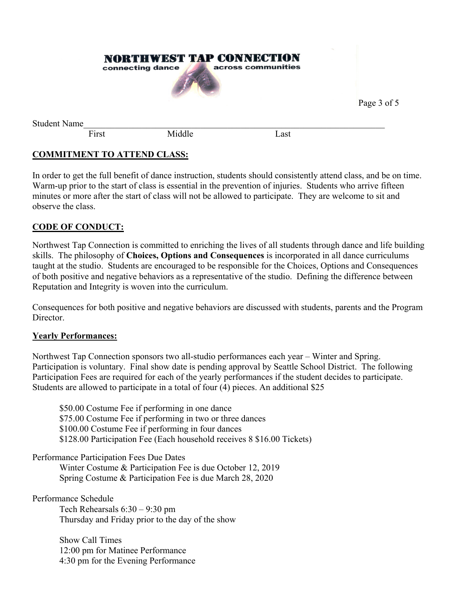|                     |       | <b>NORTHWEST TAP CONNECTION</b><br>connecting dance | across communities |             |
|---------------------|-------|-----------------------------------------------------|--------------------|-------------|
|                     |       |                                                     |                    | Page 3 of 5 |
| <b>Student Name</b> |       |                                                     |                    |             |
|                     | First | Middle                                              | Last               |             |

# **COMMITMENT TO ATTEND CLASS:**

In order to get the full benefit of dance instruction, students should consistently attend class, and be on time. Warm-up prior to the start of class is essential in the prevention of injuries. Students who arrive fifteen minutes or more after the start of class will not be allowed to participate. They are welcome to sit and observe the class.

## **CODE OF CONDUCT:**

Northwest Tap Connection is committed to enriching the lives of all students through dance and life building skills. The philosophy of **Choices, Options and Consequences** is incorporated in all dance curriculums taught at the studio. Students are encouraged to be responsible for the Choices, Options and Consequences of both positive and negative behaviors as a representative of the studio. Defining the difference between Reputation and Integrity is woven into the curriculum.

Consequences for both positive and negative behaviors are discussed with students, parents and the Program Director.

#### **Yearly Performances:**

Northwest Tap Connection sponsors two all-studio performances each year – Winter and Spring. Participation is voluntary. Final show date is pending approval by Seattle School District. The following Participation Fees are required for each of the yearly performances if the student decides to participate. Students are allowed to participate in a total of four (4) pieces. An additional \$25

\$50.00 Costume Fee if performing in one dance \$75.00 Costume Fee if performing in two or three dances \$100.00 Costume Fee if performing in four dances \$128.00 Participation Fee (Each household receives 8 \$16.00 Tickets)

Performance Participation Fees Due Dates

Winter Costume & Participation Fee is due October 12, 2019 Spring Costume & Participation Fee is due March 28, 2020

Performance Schedule

Tech Rehearsals 6:30 – 9:30 pm Thursday and Friday prior to the day of the show

Show Call Times 12:00 pm for Matinee Performance 4:30 pm for the Evening Performance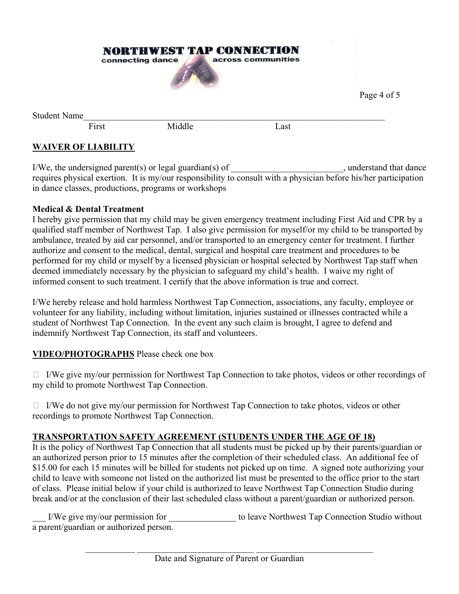

# **WAIVER OF LIABILITY**

I/We, the undersigned parent(s) or legal guardian(s) of  $\blacksquare$ , understand that dance requires physical exertion. It is my/our responsibility to consult with a physician before his/her participation in dance classes, productions, programs or workshops

Page 4 of 5

### **Medical & Dental Treatment**

I hereby give permission that my child may be given emergency treatment including First Aid and CPR by a qualified staff member of Northwest Tap. I also give permission for myself/or my child to be transported by ambulance, treated by aid car personnel, and/or transported to an emergency center for treatment. I further authorize and consent to the medical, dental, surgical and hospital care treatment and procedures to be performed for my child or myself by a licensed physician or hospital selected by Northwest Tap staff when deemed immediately necessary by the physician to safeguard my child's health. I waive my right of informed consent to such treatment. I certify that the above information is true and correct.

I/We hereby release and hold harmless Northwest Tap Connection, associations, any faculty, employee or volunteer for any liability, including without limitation, injuries sustained or illnesses contracted while a student of Northwest Tap Connection. In the event any such claim is brought, I agree to defend and indemnify Northwest Tap Connection, its staff and volunteers.

## **VIDEO/PHOTOGRAPHS** Please check one box

 $\Box$  I/We give my/our permission for Northwest Tap Connection to take photos, videos or other recordings of my child to promote Northwest Tap Connection.

 $\Box$  I/We do not give my/our permission for Northwest Tap Connection to take photos, videos or other recordings to promote Northwest Tap Connection.

## **TRANSPORTATION SAFETY AGREEMENT (STUDENTS UNDER THE AGE OF 18)**

It is the policy of Northwest Tap Connection that all students must be picked up by their parents/guardian or an authorized person prior to 15 minutes after the completion of their scheduled class. An additional fee of \$15.00 for each 15 minutes will be billed for students not picked up on time. A signed note authorizing your child to leave with someone not listed on the authorized list must be presented to the office prior to the start of class. Please initial below if your child is authorized to leave Northwest Tap Connection Studio during break and/or at the conclusion of their last scheduled class without a parent/guardian or authorized person.

I/We give my/our permission for the leave Northwest Tap Connection Studio without a parent/guardian or authorized person.